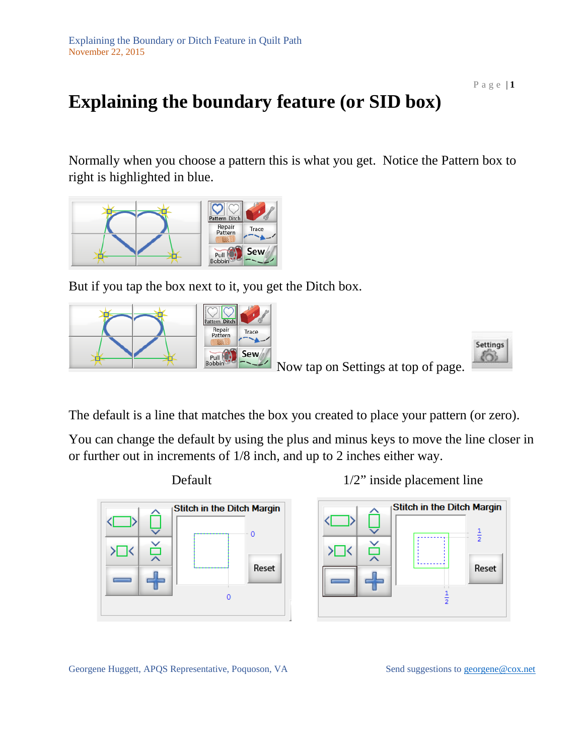## **Explaining the boundary feature (or SID box)**

Normally when you choose a pattern this is what you get. Notice the Pattern box to right is highlighted in blue.



But if you tap the box next to it, you get the Ditch box.





Now tap on Settings at top of page.

The default is a line that matches the box you created to place your pattern (or zero).

You can change the default by using the plus and minus keys to move the line closer in or further out in increments of 1/8 inch, and up to 2 inches either way.







Georgene Huggett, APQS Representative, Poquoson, VA Send suggestions to [georgene@cox.net](mailto:georgene@cox.net)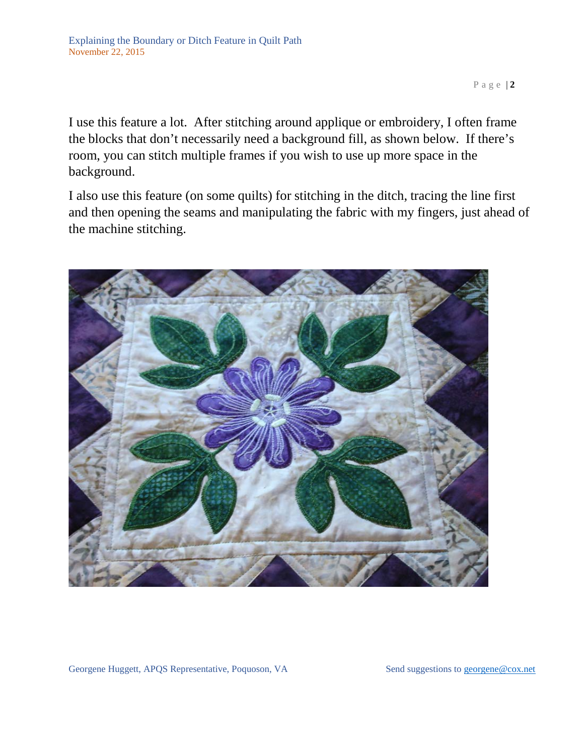I use this feature a lot. After stitching around applique or embroidery, I often frame the blocks that don't necessarily need a background fill, as shown below. If there's room, you can stitch multiple frames if you wish to use up more space in the background.

I also use this feature (on some quilts) for stitching in the ditch, tracing the line first and then opening the seams and manipulating the fabric with my fingers, just ahead of the machine stitching.

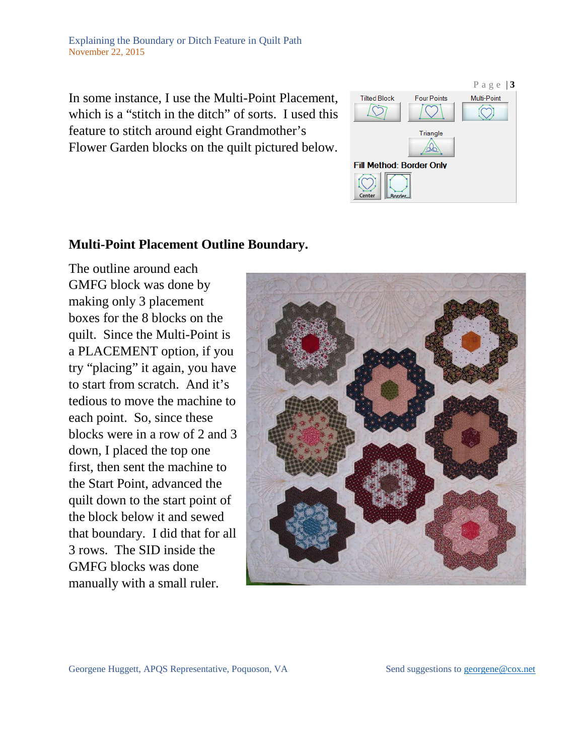In some instance, I use the Multi-Point Placement, which is a "stitch in the ditch" of sorts. I used this feature to stitch around eight Grandmother's Flower Garden blocks on the quilt pictured below.



## **Multi-Point Placement Outline Boundary.**

The outline around each GMFG block was done by making only 3 placement boxes for the 8 blocks on the quilt. Since the Multi-Point is a PLACEMENT option, if you try "placing" it again, you have to start from scratch. And it's tedious to move the machine to each point. So, since these blocks were in a row of 2 and 3 down, I placed the top one first, then sent the machine to the Start Point, advanced the quilt down to the start point of the block below it and sewed that boundary. I did that for all 3 rows. The SID inside the GMFG blocks was done manually with a small ruler.